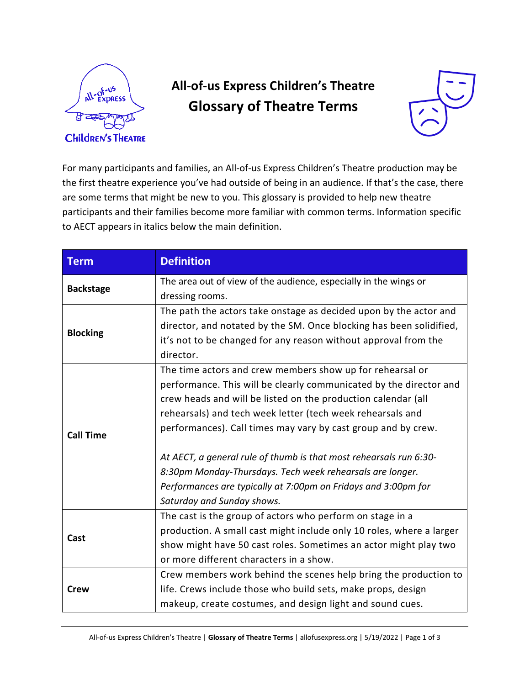

## **All-of-us Express Children's Theatre Glossary of Theatre Terms**



For many participants and families, an All-of-us Express Children's Theatre production may be the first theatre experience you've had outside of being in an audience. If that's the case, there are some terms that might be new to you. This glossary is provided to help new theatre participants and their families become more familiar with common terms. Information specific to AECT appears in italics below the main definition.

| <b>Term</b>      | <b>Definition</b>                                                            |
|------------------|------------------------------------------------------------------------------|
| <b>Backstage</b> | The area out of view of the audience, especially in the wings or             |
|                  | dressing rooms.                                                              |
|                  | The path the actors take onstage as decided upon by the actor and            |
| <b>Blocking</b>  | director, and notated by the SM. Once blocking has been solidified,          |
|                  | it's not to be changed for any reason without approval from the<br>director. |
|                  | The time actors and crew members show up for rehearsal or                    |
|                  | performance. This will be clearly communicated by the director and           |
|                  | crew heads and will be listed on the production calendar (all                |
|                  | rehearsals) and tech week letter (tech week rehearsals and                   |
| <b>Call Time</b> | performances). Call times may vary by cast group and by crew.                |
|                  | At AECT, a general rule of thumb is that most rehearsals run 6:30-           |
|                  | 8:30pm Monday-Thursdays. Tech week rehearsals are longer.                    |
|                  | Performances are typically at 7:00pm on Fridays and 3:00pm for               |
|                  | Saturday and Sunday shows.                                                   |
|                  | The cast is the group of actors who perform on stage in a                    |
| Cast             | production. A small cast might include only 10 roles, where a larger         |
|                  | show might have 50 cast roles. Sometimes an actor might play two             |
|                  | or more different characters in a show.                                      |
|                  | Crew members work behind the scenes help bring the production to             |
| <b>Crew</b>      | life. Crews include those who build sets, make props, design                 |
|                  | makeup, create costumes, and design light and sound cues.                    |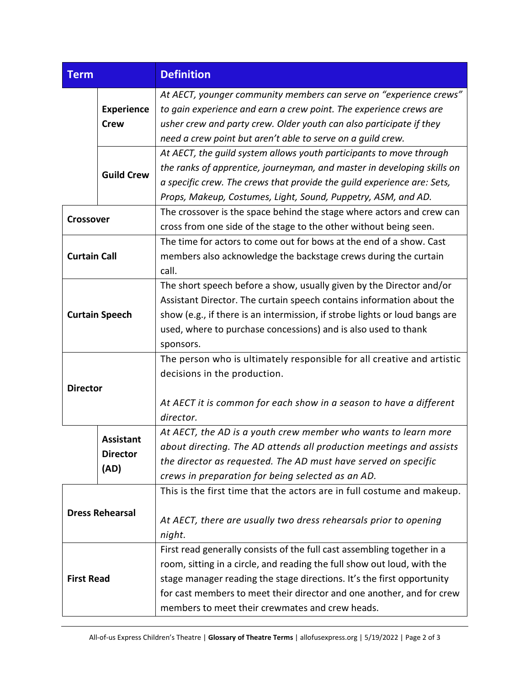| <b>Term</b>            |                                             | <b>Definition</b>                                                                                                                                                                                                                                                                                                                                        |
|------------------------|---------------------------------------------|----------------------------------------------------------------------------------------------------------------------------------------------------------------------------------------------------------------------------------------------------------------------------------------------------------------------------------------------------------|
|                        | <b>Experience</b><br><b>Crew</b>            | At AECT, younger community members can serve on "experience crews"<br>to gain experience and earn a crew point. The experience crews are<br>usher crew and party crew. Older youth can also participate if they<br>need a crew point but aren't able to serve on a guild crew.                                                                           |
|                        | <b>Guild Crew</b>                           | At AECT, the guild system allows youth participants to move through<br>the ranks of apprentice, journeyman, and master in developing skills on<br>a specific crew. The crews that provide the guild experience are: Sets,<br>Props, Makeup, Costumes, Light, Sound, Puppetry, ASM, and AD.                                                               |
| <b>Crossover</b>       |                                             | The crossover is the space behind the stage where actors and crew can<br>cross from one side of the stage to the other without being seen.                                                                                                                                                                                                               |
| <b>Curtain Call</b>    |                                             | The time for actors to come out for bows at the end of a show. Cast<br>members also acknowledge the backstage crews during the curtain<br>call.                                                                                                                                                                                                          |
| <b>Curtain Speech</b>  |                                             | The short speech before a show, usually given by the Director and/or<br>Assistant Director. The curtain speech contains information about the<br>show (e.g., if there is an intermission, if strobe lights or loud bangs are<br>used, where to purchase concessions) and is also used to thank<br>sponsors.                                              |
| <b>Director</b>        |                                             | The person who is ultimately responsible for all creative and artistic<br>decisions in the production.<br>At AECT it is common for each show in a season to have a different<br>director.                                                                                                                                                                |
|                        | <b>Assistant</b><br><b>Director</b><br>(AD) | At AECT, the AD is a youth crew member who wants to learn more<br>about directing. The AD attends all production meetings and assists<br>the director as requested. The AD must have served on specific<br>crews in preparation for being selected as an AD.                                                                                             |
| <b>Dress Rehearsal</b> |                                             | This is the first time that the actors are in full costume and makeup.<br>At AECT, there are usually two dress rehearsals prior to opening<br>night.                                                                                                                                                                                                     |
| <b>First Read</b>      |                                             | First read generally consists of the full cast assembling together in a<br>room, sitting in a circle, and reading the full show out loud, with the<br>stage manager reading the stage directions. It's the first opportunity<br>for cast members to meet their director and one another, and for crew<br>members to meet their crewmates and crew heads. |